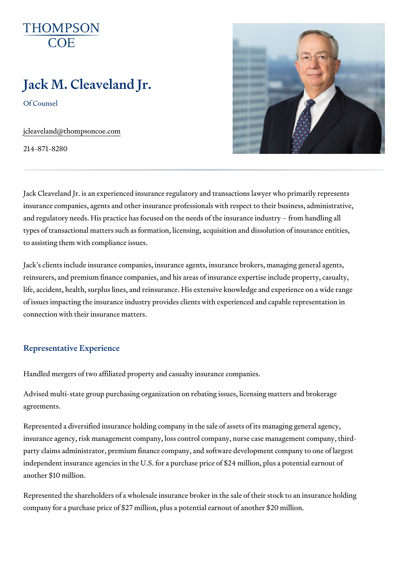# Jack M. Cleaveland Jr.

Of Counsel

[jcleaveland@thomp](mailto:jcleaveland@thompsoncoe.com)soncoe.com

214-871-8280

Jack Cleaveland Jr. is an experienced insurance regulatory and transactio insurance companies, agents and other insurance professionals with respe and regulatory needs. His practice has focused on the needs of the insural types of transactional matters such as formation, licensing, acquisition an to assisting them with compliance issues.

Jack s clients include insurance companies, insurance agents, insurance b reinsurers, and premium finance companies, and his areas of insurance ex life, accident, health, surplus lines, and reinsurance. His extensive knowle of issues impacting the insurance industry provides clients with experience connection with their insurance matters.

#### Representative Experience

Handled mergers of two affiliated property and casualty insurance compani

Advised multi-state group purchasing organization on rebating issues, lice agreements.

Represented a diversified insurance holding company in the sale of assets insurance agency, risk management company, loss control company, nurse party claims administrator, premium finance company, and software develo independent insurance agencies in the U.S. for a purchase price of \$24 mi another \$10 million.

Represented the shareholders of a wholesale insurance broker in the sale company for a purchase price of \$27 million, plus a potential earnout of ar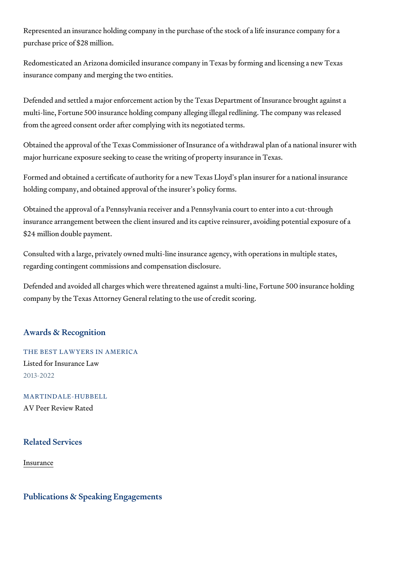Represented an insurance holding company in the purchase of the stock of purchase price of \$28 million.

Redomesticated an Arizona domiciled insurance company in Texas by formi insurance company and merging the two entities.

Defended and settled a major enforcement action by the Texas Department multi-line, Fortune 500 insurance holding company alleging illegal redlinin from the agreed consent order after complying with its negotiated terms.

Obtained the approval of the Texas Commissioner of Insurance of a withdra major hurricane exposure seeking to cease the writing of property insurand

Formed and obtained a certificate of authority for a new Texas Lloyd s pla holding company, and obtained approval of the insurer s policy forms.

Obtained the approval of a Pennsylvania receiver and a Pennsylvania cour insurance arrangement between the client insured and its captive reinsure \$24 million double payment.

Consulted with a large, privately owned multi-line insurance agency, with  $\theta$ regarding contingent commissions and compensation disclosure.

Defended and avoided all charges which were threatened against a multi-li company by the Texas Attorney General relating to the use of credit scoring.

#### Awards & Recognition

THE BEST LAWYERS IN AMERICA Listed for Insurance Law 2013-2022

MARTINDALE-HUBBELL AV Peer Review Rated

Related Services

[Insura](https://www.thompsoncoe.com/people/jack-m-cleaveland-jr/)nce

Publications & Speaking Engagements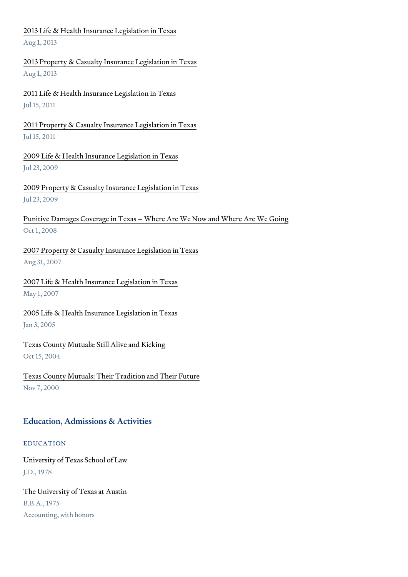## [2013 Life & Health Insurance](https://www.thompsoncoe.com/resources/publications/2013-life-health-insurance-legislation-in-texas/) Legislation in Texas Aug 1, 2013

[2013 Property & Casualty Insuran](https://www.thompsoncoe.com/resources/publications/2013-property-casualty-insurance-legislation-in-texas/)ce Legislation in Texas Aug 1, 2013

[2011 Life & Health Insurance](https://www.thompsoncoe.com/resources/publications/2011-life-health-insurance-legislation-in-texas/) Legislation in Texas Jul 15, 2011

[2011 Property & Casualty Insuran](https://www.thompsoncoe.com/resources/publications/2011-property-casualty-insurance-legislation-in-texas/)ce Legislation in Texas Jul 15, 2011

[2009 Life & Health Insurance L](https://www.thompsoncoe.com/resources/publications/2009-life-health-insurance-legislation-in-texas/)egislation in Texas Jul 23, 2009

[2009 Property & Casualty Insuranc](https://www.thompsoncoe.com/resources/publications/2009-property-casualty-insurance-legislation-in-texas/)e Legislation in Texas Jul 23, 2009

Punitive Damages Coverage in Texas Where Are We Now and Where Are V Oct 1, 2008

[2007 Property & Casualty Insuranc](https://www.thompsoncoe.com/resources/publications/2007-property-casualty-insurance-legislation-in-texas/)e Legislation in Texas Aug 31, 2007

[2007 Life & Health Insurance](https://www.thompsoncoe.com/resources/publications/2007-life-health-insurance-legislation-in-texas/) Legislation in Texas May 1, 2007

[2005 Life & Health Insurance](https://www.thompsoncoe.com/resources/publications/2005-life-health-insurance-legislation-in-texas/) Legislation in Texas Jan 3, 2005

[Texas County Mutuals: Still](https://www.thompsoncoe.com/resources/publications/texas-county-mutuals-still-alive-and-kicking/) Alive and Kicking Oct 15, 2004

[Texas County Mutuals: Their Tradi](https://www.thompsoncoe.com/resources/publications/texas-county-mutuals-their-tradition-and-their-future/)tion and Their Future Nov 7, 2000

### Education, Admissions & Activities

#### EDUCATION

University of Texas School of Law J.D., 1978

The University of Texas at Austin B.B.A., 1975 Accounting, with honors